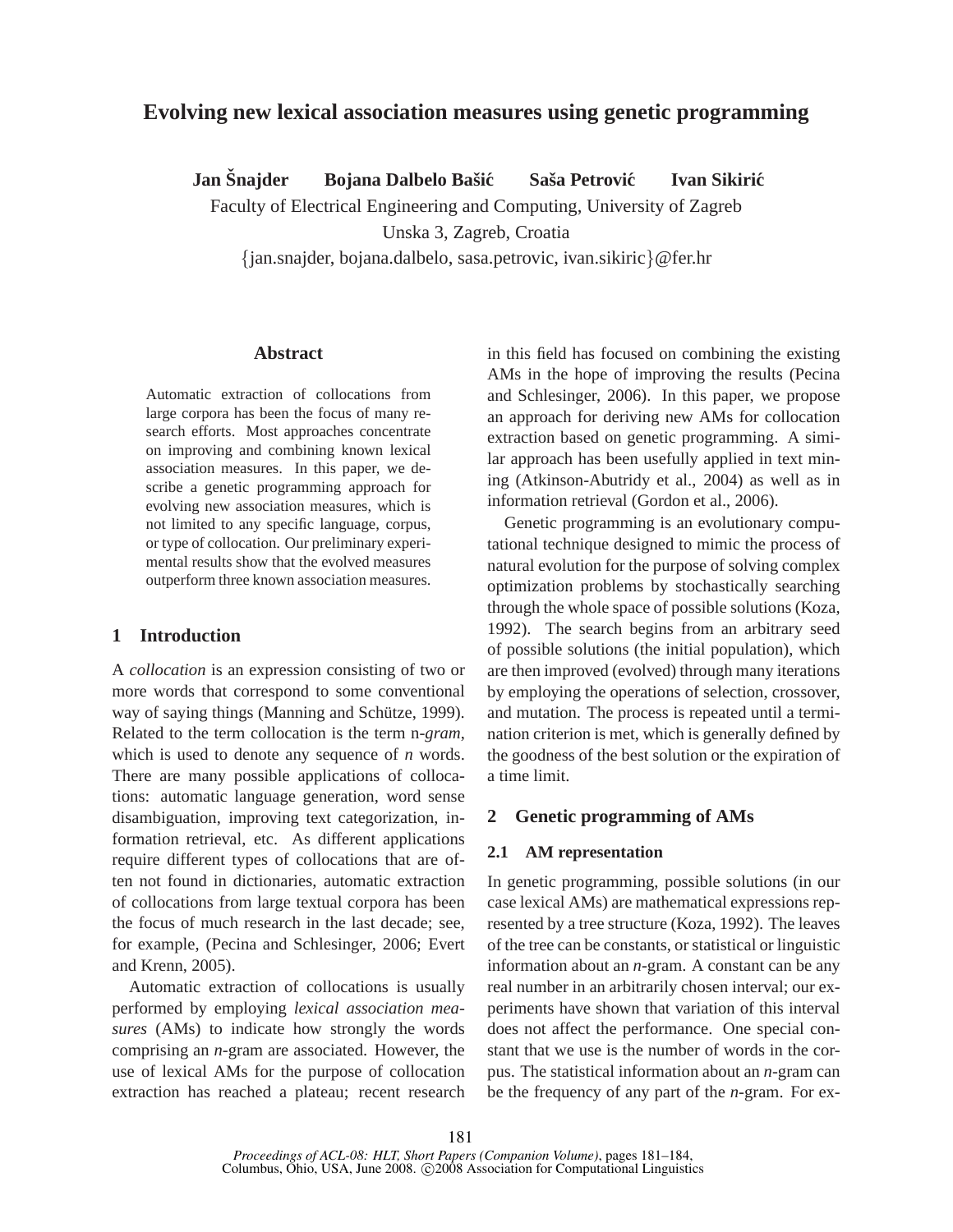# **Evolving new lexical association measures using genetic programming**

**Jan** Šnajder Bojana Dalbelo Bašić Saša Petrović Ivan Sikirić

Faculty of Electrical Engineering and Computing, University of Zagreb

Unska 3, Zagreb, Croatia

{jan.snajder, bojana.dalbelo, sasa.petrovic, ivan.sikiric}@fer.hr

# **Abstract**

Automatic extraction of collocations from large corpora has been the focus of many research efforts. Most approaches concentrate on improving and combining known lexical association measures. In this paper, we describe a genetic programming approach for evolving new association measures, which is not limited to any specific language, corpus, or type of collocation. Our preliminary experimental results show that the evolved measures outperform three known association measures.

# **1 Introduction**

A *collocation* is an expression consisting of two or more words that correspond to some conventional way of saying things (Manning and Schütze, 1999). Related to the term collocation is the term n-*gram*, which is used to denote any sequence of *n* words. There are many possible applications of collocations: automatic language generation, word sense disambiguation, improving text categorization, information retrieval, etc. As different applications require different types of collocations that are often not found in dictionaries, automatic extraction of collocations from large textual corpora has been the focus of much research in the last decade; see, for example, (Pecina and Schlesinger, 2006; Evert and Krenn, 2005).

Automatic extraction of collocations is usually performed by employing *lexical association measures* (AMs) to indicate how strongly the words comprising an *n*-gram are associated. However, the use of lexical AMs for the purpose of collocation extraction has reached a plateau; recent research in this field has focused on combining the existing AMs in the hope of improving the results (Pecina and Schlesinger, 2006). In this paper, we propose an approach for deriving new AMs for collocation extraction based on genetic programming. A similar approach has been usefully applied in text mining (Atkinson-Abutridy et al., 2004) as well as in information retrieval (Gordon et al., 2006).

Genetic programming is an evolutionary computational technique designed to mimic the process of natural evolution for the purpose of solving complex optimization problems by stochastically searching through the whole space of possible solutions (Koza, 1992). The search begins from an arbitrary seed of possible solutions (the initial population), which are then improved (evolved) through many iterations by employing the operations of selection, crossover, and mutation. The process is repeated until a termination criterion is met, which is generally defined by the goodness of the best solution or the expiration of a time limit.

## **2 Genetic programming of AMs**

## **2.1 AM representation**

In genetic programming, possible solutions (in our case lexical AMs) are mathematical expressions represented by a tree structure (Koza, 1992). The leaves of the tree can be constants, or statistical or linguistic information about an *n*-gram. A constant can be any real number in an arbitrarily chosen interval; our experiments have shown that variation of this interval does not affect the performance. One special constant that we use is the number of words in the corpus. The statistical information about an *n*-gram can be the frequency of any part of the *n*-gram. For ex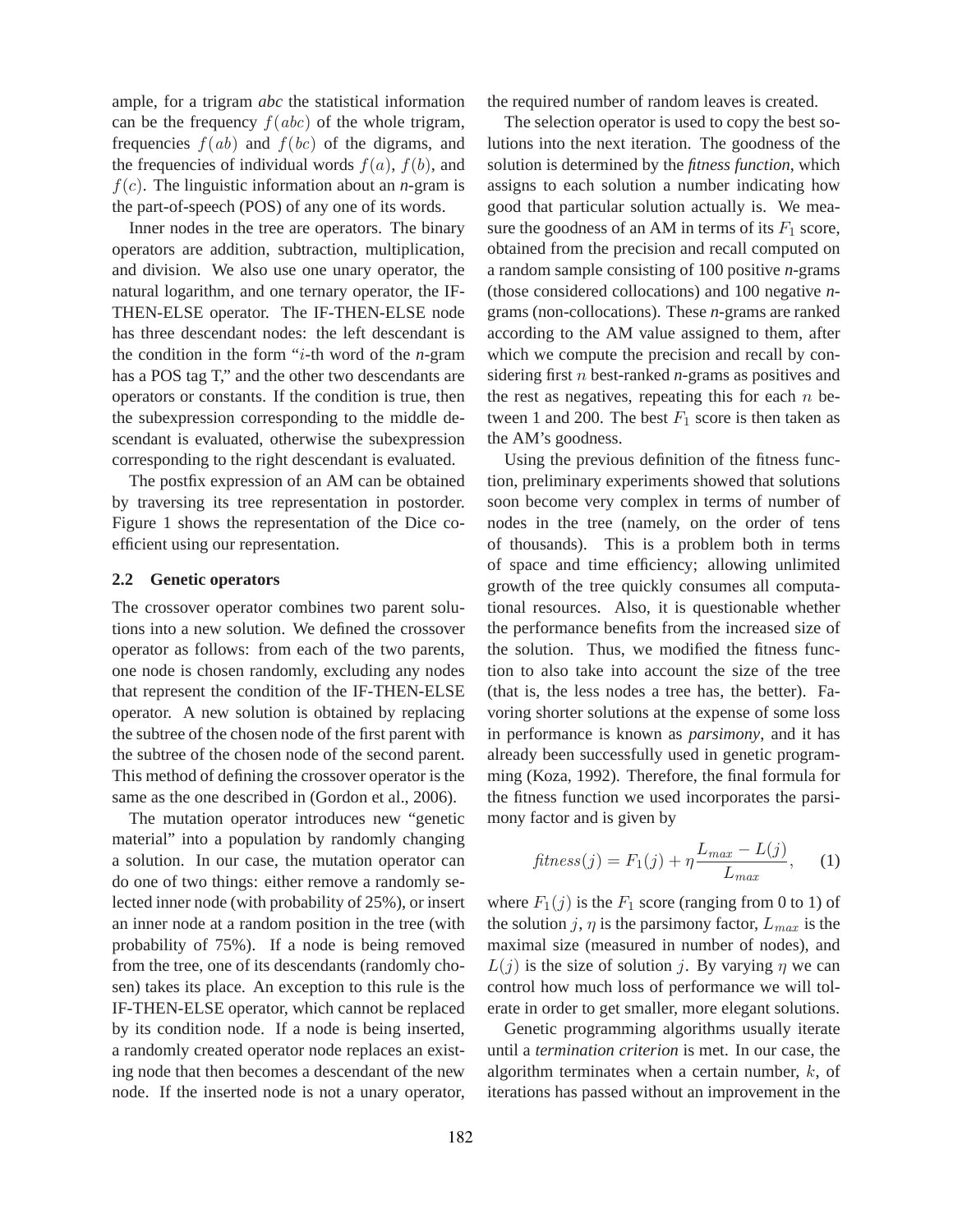ample, for a trigram *abc* the statistical information can be the frequency  $f(abc)$  of the whole trigram, frequencies  $f(ab)$  and  $f(bc)$  of the digrams, and the frequencies of individual words  $f(a)$ ,  $f(b)$ , and  $f(c)$ . The linguistic information about an *n*-gram is the part-of-speech (POS) of any one of its words.

Inner nodes in the tree are operators. The binary operators are addition, subtraction, multiplication, and division. We also use one unary operator, the natural logarithm, and one ternary operator, the IF-THEN-ELSE operator. The IF-THEN-ELSE node has three descendant nodes: the left descendant is the condition in the form "i-th word of the *n*-gram has a POS tag T," and the other two descendants are operators or constants. If the condition is true, then the subexpression corresponding to the middle descendant is evaluated, otherwise the subexpression corresponding to the right descendant is evaluated.

The postfix expression of an AM can be obtained by traversing its tree representation in postorder. Figure 1 shows the representation of the Dice coefficient using our representation.

#### **2.2 Genetic operators**

The crossover operator combines two parent solutions into a new solution. We defined the crossover operator as follows: from each of the two parents, one node is chosen randomly, excluding any nodes that represent the condition of the IF-THEN-ELSE operator. A new solution is obtained by replacing the subtree of the chosen node of the first parent with the subtree of the chosen node of the second parent. This method of defining the crossover operator is the same as the one described in (Gordon et al., 2006).

The mutation operator introduces new "genetic material" into a population by randomly changing a solution. In our case, the mutation operator can do one of two things: either remove a randomly selected inner node (with probability of 25%), or insert an inner node at a random position in the tree (with probability of 75%). If a node is being removed from the tree, one of its descendants (randomly chosen) takes its place. An exception to this rule is the IF-THEN-ELSE operator, which cannot be replaced by its condition node. If a node is being inserted, a randomly created operator node replaces an existing node that then becomes a descendant of the new node. If the inserted node is not a unary operator,

the required number of random leaves is created.

The selection operator is used to copy the best solutions into the next iteration. The goodness of the solution is determined by the *fitness function*, which assigns to each solution a number indicating how good that particular solution actually is. We measure the goodness of an AM in terms of its  $F_1$  score, obtained from the precision and recall computed on a random sample consisting of 100 positive *n*-grams (those considered collocations) and 100 negative *n*grams (non-collocations). These *n*-grams are ranked according to the AM value assigned to them, after which we compute the precision and recall by considering first n best-ranked *n*-grams as positives and the rest as negatives, repeating this for each  $n$  between 1 and 200. The best  $F_1$  score is then taken as the AM's goodness.

Using the previous definition of the fitness function, preliminary experiments showed that solutions soon become very complex in terms of number of nodes in the tree (namely, on the order of tens of thousands). This is a problem both in terms of space and time efficiency; allowing unlimited growth of the tree quickly consumes all computational resources. Also, it is questionable whether the performance benefits from the increased size of the solution. Thus, we modified the fitness function to also take into account the size of the tree (that is, the less nodes a tree has, the better). Favoring shorter solutions at the expense of some loss in performance is known as *parsimony*, and it has already been successfully used in genetic programming (Koza, 1992). Therefore, the final formula for the fitness function we used incorporates the parsimony factor and is given by

$$
fitness(j) = F_1(j) + \eta \frac{L_{max} - L(j)}{L_{max}}, \quad (1)
$$

where  $F_1(j)$  is the  $F_1$  score (ranging from 0 to 1) of the solution j,  $\eta$  is the parsimony factor,  $L_{max}$  is the maximal size (measured in number of nodes), and  $L(j)$  is the size of solution j. By varying  $\eta$  we can control how much loss of performance we will tolerate in order to get smaller, more elegant solutions.

Genetic programming algorithms usually iterate until a *termination criterion* is met. In our case, the algorithm terminates when a certain number,  $k$ , of iterations has passed without an improvement in the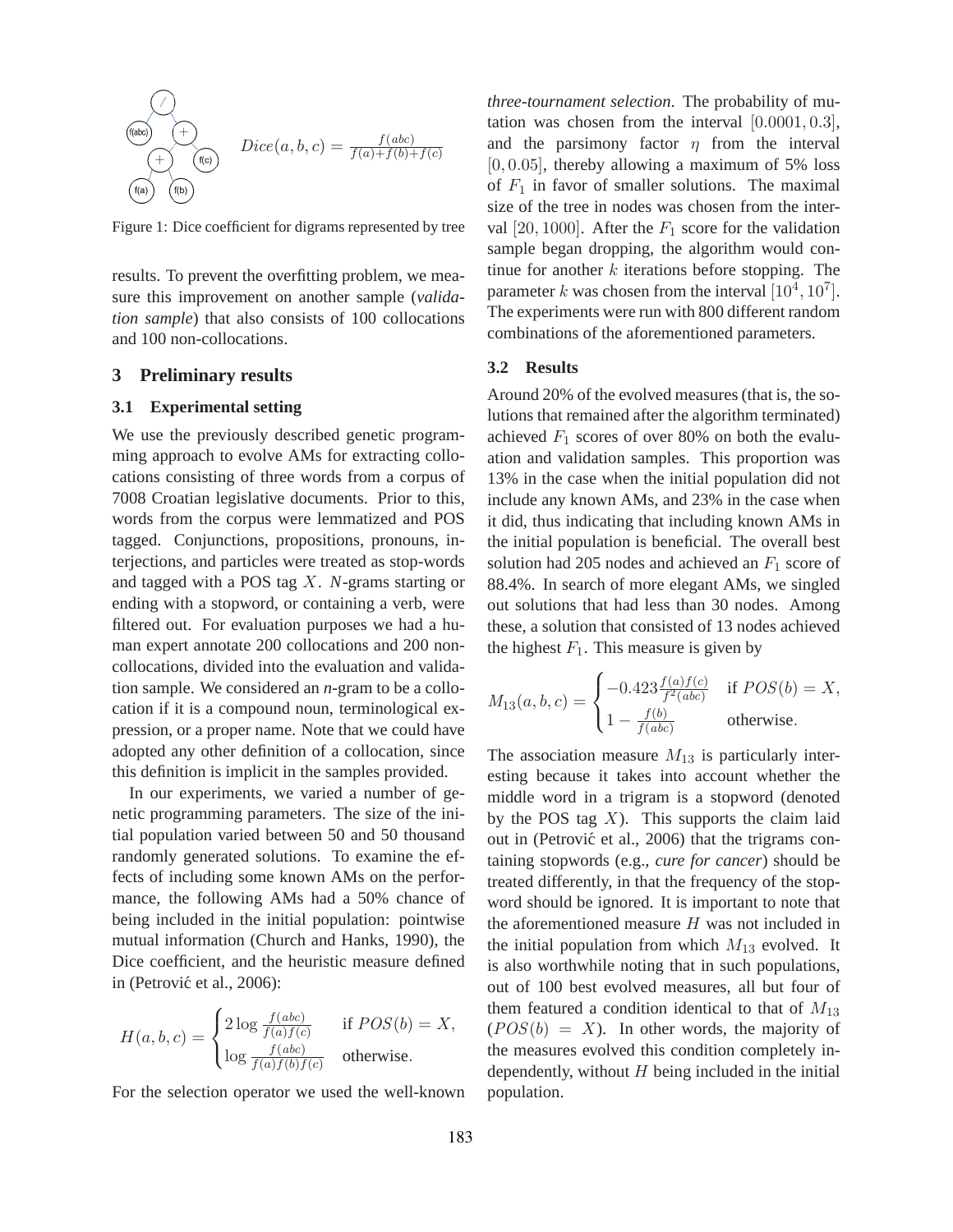$$
\underbrace{\underbrace{f(\text{abc})}_{(f(\text{a}))}}_{(f(\text{b}))} + \underbrace{\left(\begin{matrix} 1 \\ 0 \end{matrix}\right)}_{Dice(a,b,c)} = \frac{f(abc)}{f(a)+f(b)+f(c)}
$$

Figure 1: Dice coefficient for digrams represented by tree

results. To prevent the overfitting problem, we measure this improvement on another sample (*validation sample*) that also consists of 100 collocations and 100 non-collocations.

# **3 Preliminary results**

#### **3.1 Experimental setting**

We use the previously described genetic programming approach to evolve AMs for extracting collocations consisting of three words from a corpus of 7008 Croatian legislative documents. Prior to this, words from the corpus were lemmatized and POS tagged. Conjunctions, propositions, pronouns, interjections, and particles were treated as stop-words and tagged with a POS tag X. *N*-grams starting or ending with a stopword, or containing a verb, were filtered out. For evaluation purposes we had a human expert annotate 200 collocations and 200 noncollocations, divided into the evaluation and validation sample. We considered an *n*-gram to be a collocation if it is a compound noun, terminological expression, or a proper name. Note that we could have adopted any other definition of a collocation, since this definition is implicit in the samples provided.

In our experiments, we varied a number of genetic programming parameters. The size of the initial population varied between 50 and 50 thousand randomly generated solutions. To examine the effects of including some known AMs on the performance, the following AMs had a 50% chance of being included in the initial population: pointwise mutual information (Church and Hanks, 1990), the Dice coefficient, and the heuristic measure defined in (Petrović et al., 2006):

$$
H(a, b, c) = \begin{cases} 2\log \frac{f(abc)}{f(a)f(c)} & \text{if } POS(b) = X, \\ \log \frac{f(abc)}{f(a)f(b)f(c)} & \text{otherwise.} \end{cases}
$$

For the selection operator we used the well-known

*three-tournament selection*. The probability of mutation was chosen from the interval  $[0.0001, 0.3]$ , and the parsimony factor  $\eta$  from the interval  $[0, 0.05]$ , thereby allowing a maximum of 5% loss of  $F_1$  in favor of smaller solutions. The maximal size of the tree in nodes was chosen from the interval [20, 1000]. After the  $F_1$  score for the validation sample began dropping, the algorithm would continue for another  $k$  iterations before stopping. The parameter k was chosen from the interval  $[10^4, 10^7]$ . The experiments were run with 800 different random combinations of the aforementioned parameters.

#### **3.2 Results**

Around 20% of the evolved measures (that is, the solutions that remained after the algorithm terminated) achieved  $F_1$  scores of over 80% on both the evaluation and validation samples. This proportion was 13% in the case when the initial population did not include any known AMs, and 23% in the case when it did, thus indicating that including known AMs in the initial population is beneficial. The overall best solution had 205 nodes and achieved an  $F_1$  score of 88.4%. In search of more elegant AMs, we singled out solutions that had less than 30 nodes. Among these, a solution that consisted of 13 nodes achieved the highest  $F_1$ . This measure is given by

$$
M_{13}(a, b, c) = \begin{cases} -0.423 \frac{f(a)f(c)}{f^2(abc)} & \text{if } POS(b) = X, \\ 1 - \frac{f(b)}{f(abc)} & \text{otherwise.} \end{cases}
$$

The association measure  $M_{13}$  is particularly interesting because it takes into account whether the middle word in a trigram is a stopword (denoted by the POS tag  $X$ ). This supports the claim laid out in (Petrović et al., 2006) that the trigrams containing stopwords (e.g., *cure for cancer*) should be treated differently, in that the frequency of the stopword should be ignored. It is important to note that the aforementioned measure  $H$  was not included in the initial population from which  $M_{13}$  evolved. It is also worthwhile noting that in such populations, out of 100 best evolved measures, all but four of them featured a condition identical to that of  $M_{13}$  $(POS(b) = X)$ . In other words, the majority of the measures evolved this condition completely independently, without  $H$  being included in the initial population.